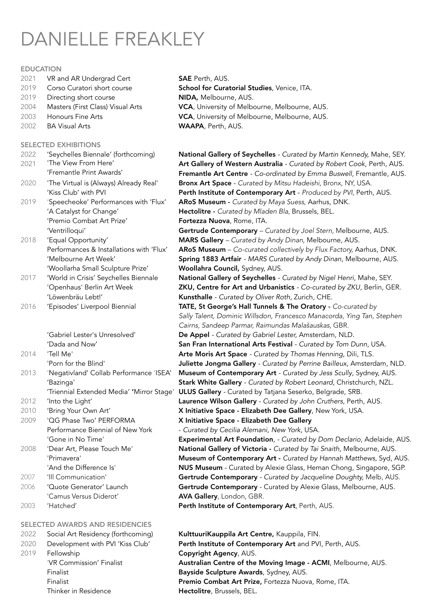# DANIELLE FREAKLEY

#### **EDUCATION**

- 2021 VR and AR Undergrad Cert SAE Perth, AUS.
- 2019 Corso Curatori short course S
- 2019 Directing short course N 2004 Masters (First Class) Visual Arts V
- 2003 Honours Fine Arts V
- 2002 BA Visual Arts WAAPA, Perth, AUS.

# SELECTED EXHIBITIONS

| 2022 | 'Seychelles Biennale' (forthcoming)<br>'The View From Here' |
|------|-------------------------------------------------------------|
| 2021 |                                                             |
|      | 'Fremantle Print Awards'                                    |
| 2020 | 'The Virtual is (Always) Already Real'                      |
|      | 'Kiss Club' with PVI                                        |
| 2019 | 'Speecheoke' Performances with 'Flux'                       |
|      | 'A Catalyst for Change'                                     |
|      | 'Premio Combat Art Prize'                                   |
|      | 'Ventrilloqui'                                              |
| 2018 | 'Equal Opportunity'                                         |
|      | Performances & Installations with 'Flux'                    |
|      | 'Melbourne Art Week'                                        |
|      | 'Woollarha Small Sculpture Prize'                           |
| 2017 | 'World in Crisis' Seychelles Biennale                       |
|      | 'Openhaus' Berlin Art Week                                  |
|      | 'Löwenbräu Lebt!'                                           |
| 2016 | 'Episodes' Liverpool Biennial                               |
|      |                                                             |
|      |                                                             |

|      | Dada and Now                             |
|------|------------------------------------------|
| 2014 | 'Tell Me'                                |
|      | 'Porn for the Blind'                     |
| 2013 | 'Negativland' Collab Performance 'ISEA'  |
|      | 'Bazinga'                                |
|      | 'Triennial Extended Media' 'Mirror Stage |
| 2012 | 'Into the Light'                         |
| 2010 | 'Bring Your Own Art'                     |
| 2009 | 'OG Phase Two' PFRFORMA                  |
|      | Performance Biennial of New York         |
|      | 'Gone in No Time'                        |
| 2008 | 'Dear Art, Please Touch Me'              |
|      | 'Primavera'                              |
|      |                                          |

- 
- 
- 

# SELECTED AWARDS AND RESIDENCIES

- 
- 2019 Fellowship **Copyright Agency, AUS.** 
	- Thinker in Residence **Hectolitre**, Brussels, BEL.

| <b>AE</b> Perth, AUS.                                 |  |  |  |  |
|-------------------------------------------------------|--|--|--|--|
| ichool for Curatorial Studies, Venice, ITA.           |  |  |  |  |
| <b>IIDA,</b> Melbourne, AUS.                          |  |  |  |  |
| <b>CA</b> , University of Melbourne, Melbourne, AUS.  |  |  |  |  |
| <b>'CA</b> , University of Melbourne, Melbourne, AUS. |  |  |  |  |
| <b>VAAPA</b> , Perth, AUS.                            |  |  |  |  |

National Gallery of Seychelles - Curated by Martin Kennedy, Mahe, SEY. Art Gallery of Western Australia - Curated by Robert Cook, Perth, AUS. Fremantle Art Centre - Co-ordinated by Emma Buswell, Fremantle, AUS. Bronx Art Space - *Curated by Mitsu Hadeishi*, Bronx, NY, USA. Perth Institute of Contemporary Art - Produced by PVI, Perth, AUS. ARoS Museum - *Curated by Maya Suess, Aarhus, DNK*. Hectolitre - *Curated by Mladen Bla, Brussels, BEL*. Fortezza Nuova, Rome, ITA. Gertrude Contemporary *– Curated by Joel Stern, Melbourne, AUS.* MARS Gallery *– Curated by Andy Dinan, Melbourne, AUS.* ARoS Museum – Co-curated collectively by Flux Factory, Aarhus, DNK. Spring 1883 Artfair *- MARS Curated by Andy Dinan*, Melbourne, AUS. Woollahra Council, Sydney, AUS. National Gallery of Seychelles - Curated by Nigel Henri, Mahe, SEY. **ZKU, Centre for Art and Urbanistics - Co-curated by ZKU, Berlin, GER.** Kunsthalle - Curated by Oliver Roth, Zurich, CHE. TATE, St George's Hall Tunnels & The Oratory - *Co-curated by Sally Talent, Dominic Willsdon, Francesco Manacorda, Ying Tan, Stephen Cairns, Sandeep Parmar, Raimundas Mala*š*auskas,* GBR. 'Gabriel Lester's Unresolved' De Appel *- Curated by Gabriel Lester,* Amsterdam, NLD. San Fran International Arts Festival - Curated by Tom Dunn, USA. Arte Moris Art Space - Curated by Thomas Henning, Dili, TLS. Juliette Jongma Gallery - Curated by Perrine Bailleux, Amsterdam, NLD. **Museum of Contemporary Art** - Curated by Jess Scully, Sydney, AUS. Stark White Gallery - Curated by Robert Leonard, Christchurch, NZL. ULUS Gallery - Curated by Tatjana Seserko, Belgrade, SRB. Laurence Wilson Gallery *- Curated by John Cruthers*, Perth, AUS. X Initiative Space - Elizabeth Dee Gallery, New York, USA. X Initiative Space - Elizabeth Dee Gallery - Curated by Cecilia Alemani, New York, USA. Experimental Art Foundation, *- Curated by Dom Declario*, Adelaide, AUS. National Gallery of Victoria - *Curated by Tai Snaith, Melbourne, AUS.* Museum of Contemporary Art - *Curated by Hannah Matthews, Syd, AUS.* 'And the Difference Is' Nuseum - Curated by Alexie Glass, Heman Chong, Singapore, SGP. 2007 'Ill Communication' Gertrude Contemporary *- Curated by Jacqueline Doughty,* Melb, AUS. 2006 'Quote Generator' Launch Gertrude Contemporary - Curated by Alexie Glass, Melbourne, AUS. 'Camus Versus Diderot' **AVA Gallery**, London, GBR. 2003 'Hatched' Perth Institute of Contemporary Art, Perth, AUS.

2022 Social Art Residency (forthcoming) KulttuuriKauppila Art Centre, Kauppila, FIN. 2020 Development with PVI 'Kiss Club' Perth Institute of Contemporary Art and PVI, Perth, AUS. 'VR Commission' Finalist **Australian Centre of the Moving Image - ACMI**, Melbourne, AUS. Finalist Bayside Sculpture Awards, Sydney, AUS. Finalist **Premio Combat Art Prize, Fortezza Nuova, Rome, ITA.**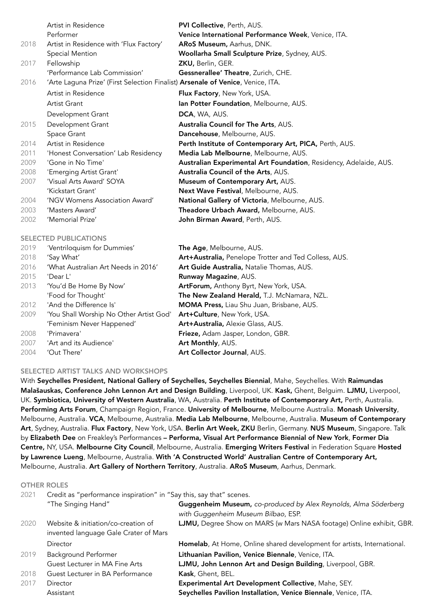|      | Artist in Residence                                                             | <b>PVI Collective, Perth, AUS.</b>                                |
|------|---------------------------------------------------------------------------------|-------------------------------------------------------------------|
|      | Performer                                                                       | Venice International Performance Week, Venice, ITA.               |
| 2018 | Artist in Residence with 'Flux Factory'                                         | ARoS Museum, Aarhus, DNK.                                         |
|      | Special Mention                                                                 | Woollarha Small Sculpture Prize, Sydney, AUS.                     |
| 2017 | Fellowship                                                                      | ZKU, Berlin, GER.                                                 |
|      | 'Performance Lab Commission'                                                    | <b>Gessnerallee' Theatre, Zurich, CHE.</b>                        |
| 2016 | 'Arte Laguna Prize' (First Selection Finalist) Arsenale of Venice, Venice, ITA. |                                                                   |
|      | Artist in Residence                                                             | Flux Factory, New York, USA.                                      |
|      | Artist Grant                                                                    | Ian Potter Foundation, Melbourne, AUS.                            |
|      | Development Grant                                                               | DCA, WA, AUS.                                                     |
| 2015 | Development Grant                                                               | Australia Council for The Arts, AUS.                              |
|      | Space Grant                                                                     | Dancehouse, Melbourne, AUS.                                       |
| 2014 | Artist in Residence                                                             | Perth Institute of Contemporary Art, PICA, Perth, AUS.            |
| 2011 | 'Honest Conversation' Lab Residency                                             | Media Lab Melbourne, Melbourne, AUS.                              |
| 2009 | 'Gone in No Time'                                                               | Australian Experimental Art Foundation, Residency, Adelaide, AUS. |
| 2008 | 'Emerging Artist Grant'                                                         | Australia Council of the Arts, AUS.                               |
| 2007 | 'Visual Arts Award' SOYA                                                        | Museum of Contemporary Art, AUS.                                  |
|      | 'Kickstart Grant'                                                               | Next Wave Festival, Melbourne, AUS.                               |
| 2004 | 'NGV Womens Association Award'                                                  | National Gallery of Victoria, Melbourne, AUS.                     |
| 2003 | 'Masters Award'                                                                 | Theadore Urbach Award, Melbourne, AUS.                            |
| 2002 | 'Memorial Prize'                                                                | John Birman Award, Perth, AUS.                                    |

#### SELECTED PUBLICATIONS

| 2019 | 'Ventriloquism for Dummies'             | The Age, Melbourne, AUS.                              |
|------|-----------------------------------------|-------------------------------------------------------|
| 2018 | 'Say What'                              | Art+Australia, Penelope Trotter and Ted Colless, AUS. |
| 2016 | 'What Australian Art Needs in 2016'     | Art Guide Australia, Natalie Thomas, AUS.             |
| 2015 | 'Dear L'                                | Runway Magazine, AUS.                                 |
| 2013 | 'You'd Be Home By Now'                  | ArtForum, Anthony Byrt, New York, USA.                |
|      | 'Food for Thought'                      | The New Zealand Herald, T.J. McNamara, NZL.           |
| 2012 | 'And the Difference Is'                 | MOMA Press, Liau Shu Juan, Brisbane, AUS.             |
| 2009 | 'You Shall Worship No Other Artist God' | Art+Culture, New York, USA.                           |
|      | 'Feminism Never Happened'               | Art+Australia, Alexie Glass, AUS.                     |
| 2008 | 'Primavera'                             | Frieze, Adam Jasper, London, GBR.                     |
| 2007 | 'Art and its Audience'                  | Art Monthly, AUS.                                     |
| 2004 | 'Out There'                             | Art Collector Journal, AUS.                           |

#### SELECTED ARTIST TALKS AND WORKSHOPS

With Seychelles President, National Gallery of Seychelles, Seychelles Biennial, Mahe, Seychelles. With Raimundas Malašauskas, Conference John Lennon Art and Design Building, Liverpool, UK. Kask, Ghent, Belguim. LJMU, Liverpool, UK. Symbiotica, University of Western Australia, WA, Australia. Perth Institute of Contemporary Art, Perth, Australia. Performing Arts Forum, Champaign Region, France. University of Melbourne, Melbourne Australia. Monash University, Melbourne, Australia. VCA, Melbourne, Australia. Media Lab Melbourne, Melbourne, Australia. Museum of Contemporary Art, Sydney, Australia. Flux Factory, New York, USA. Berlin Art Week, ZKU Berlin, Germany. NUS Museum, Singapore. Talk by Elizabeth Dee on Freakley's Performances – Performa, Visual Art Performance Biennial of New York, Former Dia Centre, NY, USA. Melbourne City Council, Melbourne, Australia. Emerging Writers Festival in Federation Square Hosted by Lawrence Lueng, Melbourne, Australia. With 'A Constructed World' Australian Centre of Contemporary Art, Melbourne, Australia. Art Gallery of Northern Territory, Australia. ARoS Museum, Aarhus, Denmark.

#### OTHER ROLES

| 2021 | Credit as "performance inspiration" in "Say this, say that" scenes. |                                                                                                        |  |
|------|---------------------------------------------------------------------|--------------------------------------------------------------------------------------------------------|--|
|      | "The Singing Hand"                                                  | Guggenheim Museum, co-produced by Alex Reynolds, Alma Söderberg<br>with Guggenheim Museum Bilbao, ESP. |  |
| 2020 | Website & initiation/co-creation of                                 | LJMU, Degree Show on MARS (w Mars NASA footage) Online exhibit, GBR.                                   |  |
|      | invented language Gale Crater of Mars                               |                                                                                                        |  |
|      | Director                                                            | Homelab, At Home, Online shared development for artists, International.                                |  |
| 2019 | <b>Background Performer</b>                                         | Lithuanian Pavilion, Venice Biennale, Venice, ITA.                                                     |  |
|      | Guest Lecturer in MA Fine Arts                                      | LJMU, John Lennon Art and Design Building, Liverpool, GBR.                                             |  |
| 2018 | Guest Lecturer in BA Performance                                    | Kask, Ghent, BEL.                                                                                      |  |
| 2017 | Director                                                            | Experimental Art Development Collective, Mahe, SEY.                                                    |  |
|      | Assistant                                                           | Seychelles Pavilion Installation, Venice Biennale, Venice, ITA.                                        |  |